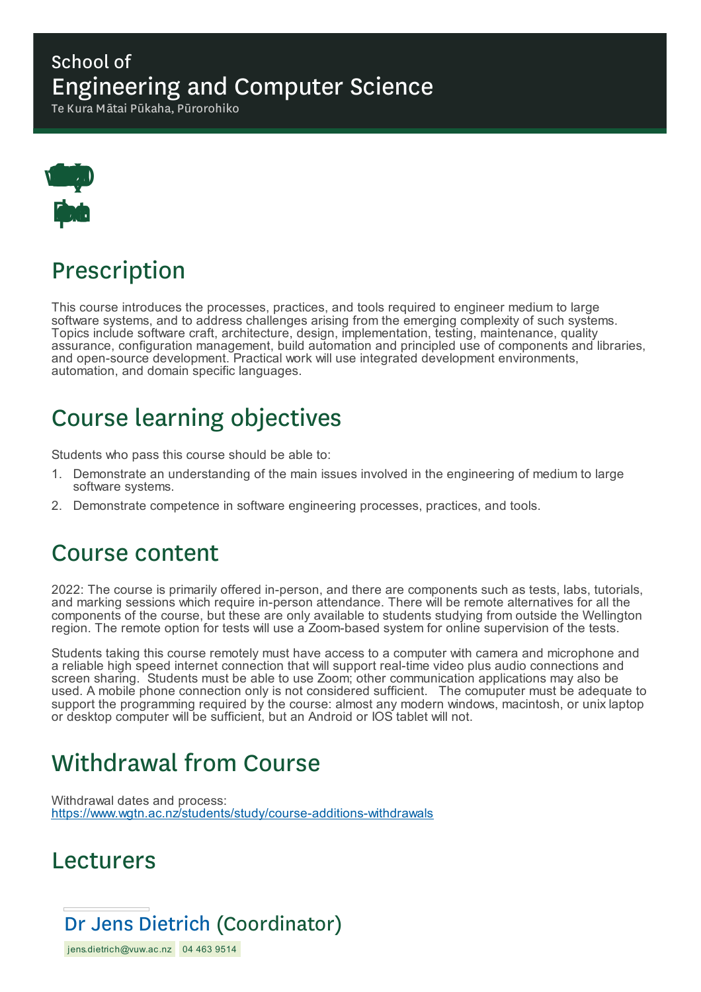### School of Engineering and Computer Science

Te Kura Mātai Pūkaha, Pūrorohiko



# Prescription

This course introduces the processes, practices, and tools required to engineer medium to large software systems, and to address challenges arising from the emerging complexity of such systems. Topics include software craft, architecture, design, implementation, testing, maintenance, quality assurance, configuration management, build automation and principled use of components and libraries, and open-source development. Practical work will use integrated development environments, automation, and domain specific languages.

# Course learning objectives

Students who pass this course should be able to:

- 1. Demonstrate an understanding of the main issues involved in the engineering of medium to large software systems.
- 2. Demonstrate competence in software engineering processes, practices, and tools.

## Course content

2022: The course is primarily offered in-person, and there are components such as tests, labs, tutorials, and marking sessions which require in-person attendance. There will be remote alternatives for all the components of the course, but these are only available to students studying from outside the Wellington region. The remote option for tests will use a Zoom-based system for online supervision of the tests.

Students taking this course remotely must have access to a computer with camera and microphone and a reliable high speed internet connection that will support real-time video plus audio connections and screen sharing. Students must be able to use Zoom; other communication applications may also be used. A mobile phone connection only is not considered sufficient. The comuputer must be adequate to support the programming required by the course: almost any modern windows, macintosh, or unix laptop or desktop computer will be sufficient, but an Android or IOS tablet will not.

# Withdrawal from Course

Withdrawal dates and process: https://www.wgtn.ac.nz/students/study/course-additions-withdrawals

### Lecturers

## Dr Jens Dietrich (Coordinator)

jens.dietrich@vuw.ac.nz 04 463 9514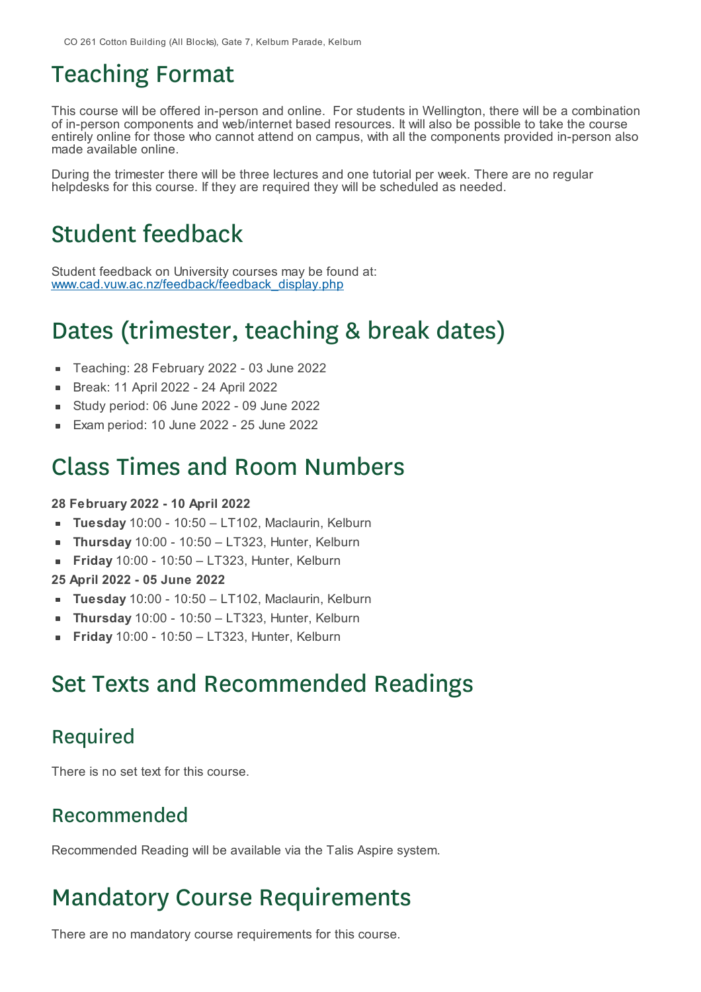# Teaching Format

This course will be offered in-person and online. For students in Wellington, there will be a combination of in-person components and web/internet based resources. It will also be possible to take the course entirely online for those who cannot attend on campus, with all the components provided in-person also made available online.

During the trimester there will be three lectures and one tutorial per week. There are no regular helpdesks for this course. If they are required they will be scheduled as needed.

## Student feedback

Student feedback on University courses may be found at: www.cad.vuw.ac.nz/feedback/feedback\_display.php

# Dates (trimester, teaching & break dates)

- Teaching: 28 February 2022 03 June 2022
- Break: 11 April 2022 24 April 2022
- Study period: 06 June 2022 09 June 2022
- Exam period: 10 June 2022 25 June 2022

## Class Times and Room Numbers

#### **28 February 2022 - 10 April 2022**

- **Tuesday** 10:00 10:50 LT102, Maclaurin, Kelburn  $\blacksquare$
- **Thursday** 10:00 10:50 LT323, Hunter, Kelburn
- $\blacksquare$ **Friday** 10:00 - 10:50 – LT323, Hunter, Kelburn

#### **25 April 2022 - 05 June 2022**

- **Tuesday** 10:00 10:50 LT102, Maclaurin, Kelburn
- **Thursday** 10:00 10:50 LT323, Hunter, Kelburn
- **Friday** 10:00 10:50 LT323, Hunter, Kelburn

## Set Texts and Recommended Readings

### Required

There is no set text for this course.

#### Recommended

Recommended Reading will be available via the Talis Aspire system.

# Mandatory Course Requirements

There are no mandatory course requirements for this course.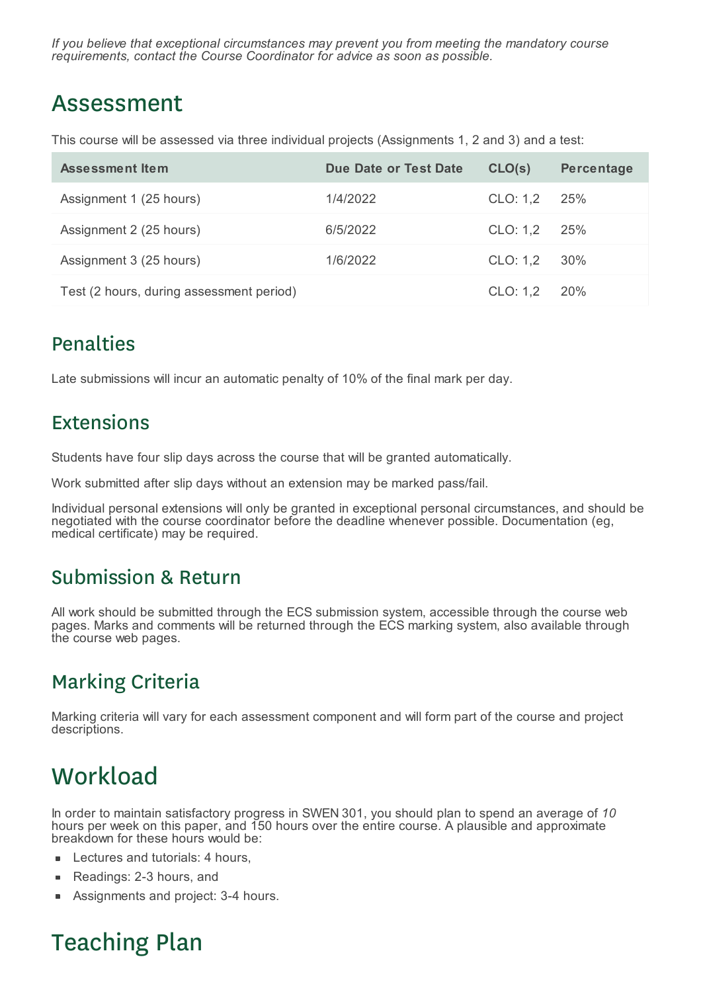*If you believe that exceptional circumstances may prevent you from meeting the mandatory course requirements, contact the Course Coordinator for advice as soon as possible.*

## Assessment

This course will be assessed via three individual projects (Assignments 1, 2 and 3) and a test:

| Assessment Item                          | Due Date or Test Date | CLO(s)       | <b>Percentage</b> |
|------------------------------------------|-----------------------|--------------|-------------------|
| Assignment 1 (25 hours)                  | 1/4/2022              | CLO: 1.2 25% |                   |
| Assignment 2 (25 hours)                  | 6/5/2022              | CLO: 1.2 25% |                   |
| Assignment 3 (25 hours)                  | 1/6/2022              | CLO: 1,2 30% |                   |
| Test (2 hours, during assessment period) |                       | CLO: 1,2 20% |                   |

### Penalties

Late submissions will incur an automatic penalty of 10% of the final mark per day.

### Extensions

Students have four slip days across the course that will be granted automatically.

Work submitted after slip days without an extension may be marked pass/fail.

Individual personal extensions will only be granted in exceptional personal circumstances, and should be negotiated with the course coordinator before the deadline whenever possible. Documentation (eg, medical certificate) may be required.

### Submission & Return

All work should be submitted through the ECS submission system, accessible through the course web pages. Marks and comments will be returned through the ECS marking system, also available through the course web pages.

## Marking Criteria

Marking criteria will vary for each assessment component and will form part of the course and project descriptions.

# **Workload**

In order to maintain satisfactory progress in SWEN 301, you should plan to spend an average of *10* hours per week on this paper, and 150 hours over the entire course. A plausible and approximate breakdown for these hours would be:

- Lectures and tutorials: 4 hours,
- Readings: 2-3 hours, and  $\blacksquare$
- Assignments and project: 3-4 hours.

# Teaching Plan